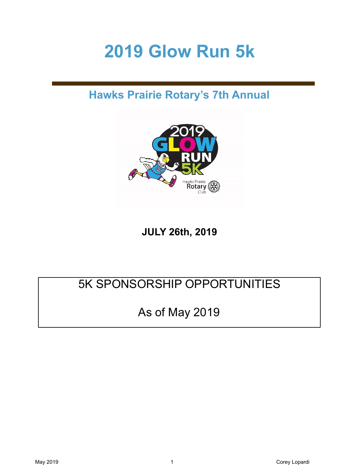# **2019 Glow Run 5k**

# **Hawks Prairie Rotary's 7th Annual**



**JULY 26th, 2019** 

# 5K SPONSORSHIP OPPORTUNITIES

# As of May 2019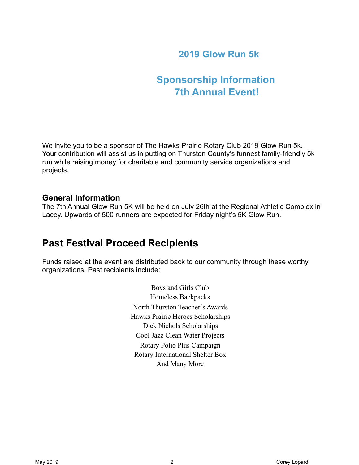### **2019 Glow Run 5k**

## **Sponsorship Information 7th Annual Event!**

We invite you to be a sponsor of The Hawks Prairie Rotary Club 2019 Glow Run 5k. Your contribution will assist us in putting on Thurston County's funnest family-friendly 5k run while raising money for charitable and community service organizations and projects.

#### **General Information**

The 7th Annual Glow Run 5K will be held on July 26th at the Regional Athletic Complex in Lacey. Upwards of 500 runners are expected for Friday night's 5K Glow Run.

### **Past Festival Proceed Recipients**

Funds raised at the event are distributed back to our community through these worthy organizations. Past recipients include:

> Boys and Girls Club Homeless Backpacks North Thurston Teacher's Awards Hawks Prairie Heroes Scholarships Dick Nichols Scholarships Cool Jazz Clean Water Projects Rotary Polio Plus Campaign Rotary International Shelter Box And Many More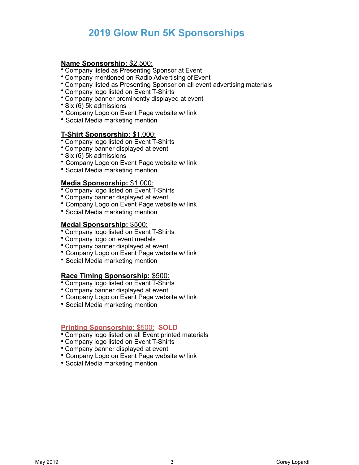### **2019 Glow Run 5K Sponsorships**

#### **Name Sponsorship:** \$2,500:

- Company listed as Presenting Sponsor at Event
- Company mentioned on Radio Advertising of Event
- Company listed as Presenting Sponsor on all event advertising materials
- Company logo listed on Event T-Shirts
- Company banner prominently displayed at event
- Six (6) 5k admissions
- Company Logo on Event Page website w/ link
- Social Media marketing mention

#### **T-Shirt Sponsorship:** \$1,000:

- Company logo listed on Event T-Shirts
- Company banner displayed at event
- Six (6) 5k admissions
- Company Logo on Event Page website w/ link
- Social Media marketing mention

#### **Media Sponsorship:** \$1,000:

- Company logo listed on Event T-Shirts
- Company banner displayed at event
- Company Logo on Event Page website w/ link
- Social Media marketing mention

#### **Medal Sponsorship:** \$500:

- Company logo listed on Event T-Shirts
- Company logo on event medals
- Company banner displayed at event
- Company Logo on Event Page website w/ link
- Social Media marketing mention

#### **Race Timing Sponsorship:** \$500:

- Company logo listed on Event T-Shirts
- Company banner displayed at event
- Company Logo on Event Page website w/ link
- Social Media marketing mention

#### **Printing Sponsorship:** \$500: **SOLD**

- Company logo listed on all Event printed materials
- Company logo listed on Event T-Shirts
- Company banner displayed at event
- Company Logo on Event Page website w/ link
- Social Media marketing mention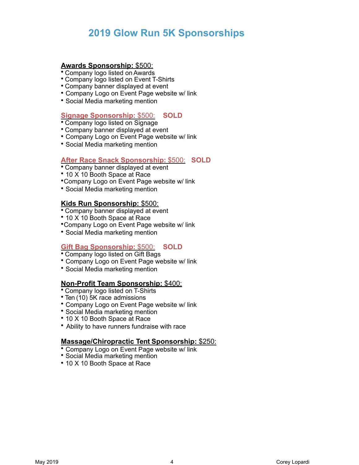### **2019 Glow Run 5K Sponsorships**

#### **Awards Sponsorship:** \$500:

• Company logo listed onAwards

- Company logo listed on Event T-Shirts
- Company banner displayed at event
- Company Logo on Event Page website w/ link
- Social Media marketing mention

#### **Signage Sponsorship:** \$500: **SOLD**

- Company logo listed on Signage
- Company banner displayed at event
- Company Logo on Event Page website w/ link
- Social Media marketing mention

#### **After Race Snack Sponsorship:** \$500: **SOLD**

- Company banner displayed at event
- 10 X 10 Booth Space at Race
- •Company Logo on Event Page website w/ link
- Social Media marketing mention

#### **Kids Run Sponsorship:** \$500:

- Company banner displayed at event
- 10 X 10 Booth Space at Race
- •Company Logo on Event Page website w/ link
- Social Media marketing mention

#### **Gift Bag Sponsorship:** \$500: **SOLD**

- Company logo listed on Gift Bags
- Company Logo on Event Page website w/ link
- Social Media marketing mention

#### **Non-Profit Team Sponsorship:** \$400:

- Company logo listed on T-Shirts
- Ten (10) 5K race admissions
- Company Logo on Event Page website w/ link
- Social Media marketing mention
- 10 X 10 Booth Space at Race
- Ability to have runners fundraise with race

#### **Massage/Chiropractic Tent Sponsorship:** \$250:

- Company Logo on Event Page website w/ link
- Social Media marketing mention
- 10 X 10 Booth Space at Race